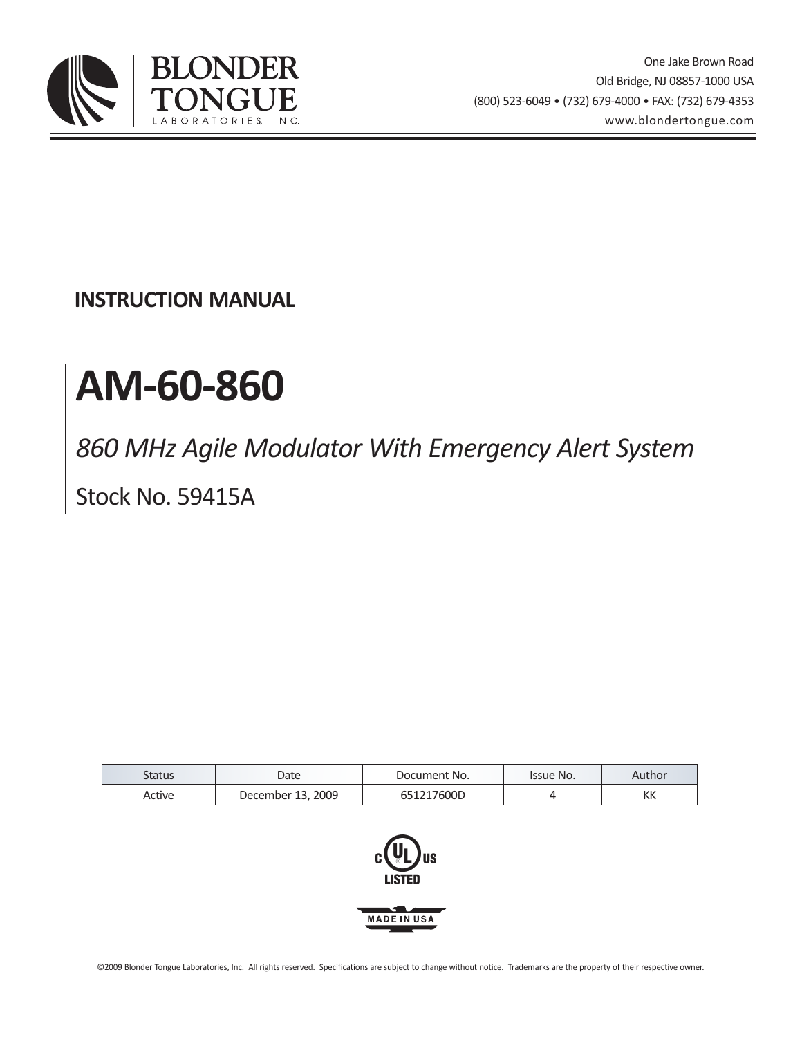

**INSTRUCTION MANUAL**

# **AM-60-860**

*860 MHz Agile Modulator With Emergency Alert System*

Stock No. 59415A

| Status | Date                   | Document No. | Issue No. | Author |
|--------|------------------------|--------------|-----------|--------|
| Active | . 2009<br>December 13, | 117600D      |           | KK     |

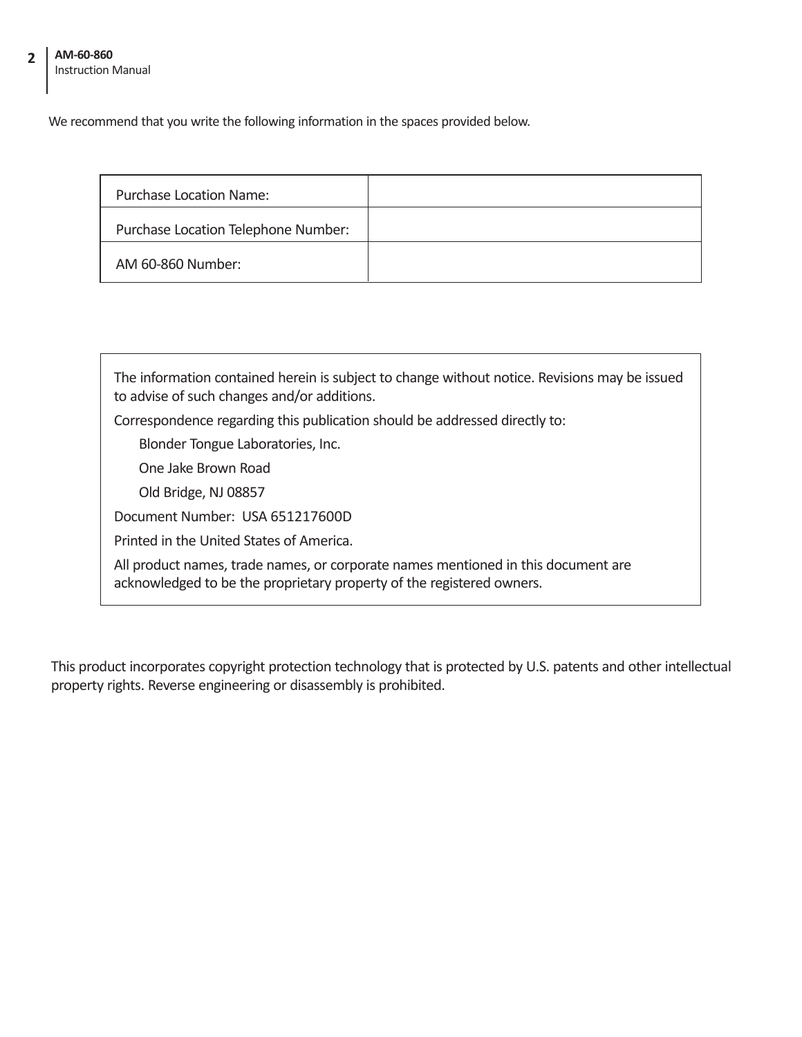#### **AM-60-860** Instruction Manual **2**

We recommend that you write the following information in the spaces provided below.

| Purchase Location Name:             |  |
|-------------------------------------|--|
| Purchase Location Telephone Number: |  |
| AM 60-860 Number:                   |  |

The information contained herein is subject to change without notice. Revisions may be issued to advise of such changes and/or additions. Correspondence regarding this publication should be addressed directly to: Blonder Tongue Laboratories, Inc. One Jake Brown Road Old Bridge, NJ 08857 Document Number: USA 651217600D Printed in the United States of America. All product names, trade names, or corporate names mentioned in this document are acknowledged to be the proprietary property of the registered owners.

This product incorporates copyright protection technology that is protected by U.S. patents and other intellectual property rights. Reverse engineering or disassembly is prohibited.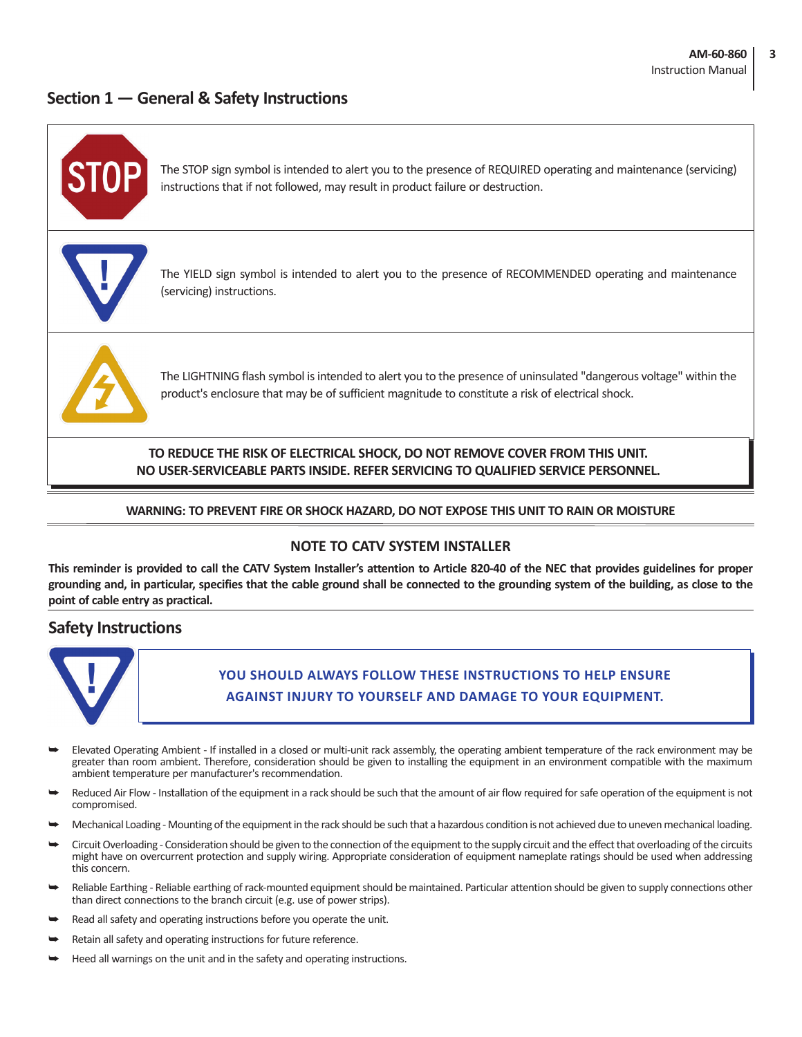#### **Section 1 — General & Safety Instructions**



#### **NOTE TO CATV SYSTEM INSTALLER**

**This reminder is provided to call the CATV System Installer's attention to Article 820-40 of the NEC that provides guidelines for proper grounding and, in particular, specifies that the cable ground shall be connected to the grounding system of the building, as close to the point of cable entry as practical.**

#### **Safety Instructions**



**You should always follow these instructions to help ensure Against injury to yourself and damage to your equipment.**

- Elevated Operating Ambient If installed in a closed or multi-unit rack assembly, the operating ambient temperature of the rack environment may be greater than room ambient. Therefore, consideration should be given to installing the equipment in an environment compatible with the maximum ambient temperature per manufacturer's recommendation.
- Reduced Air Flow Installation of the equipment in a rack should be such that the amount of air flow required for safe operation of the equipment is not compromised.
- Mechanical Loading Mounting of the equipment in the rack should be such that a hazardous condition is not achieved due to uneven mechanical loading.
- Circuit Overloading Consideration should be given to the connection of the equipment to the supply circuit and the effect that overloading of the circuits might have on overcurrent protection and supply wiring. Appropriate consideration of equipment nameplate ratings should be used when addressing this concern.
- Reliable Earthing Reliable earthing of rack-mounted equipment should be maintained. Particular attention should be given to supply connections other than direct connections to the branch circuit (e.g. use of power strips).
- Read all safety and operating instructions before you operate the unit.
- Retain all safety and operating instructions for future reference.
- Heed all warnings on the unit and in the safety and operating instructions.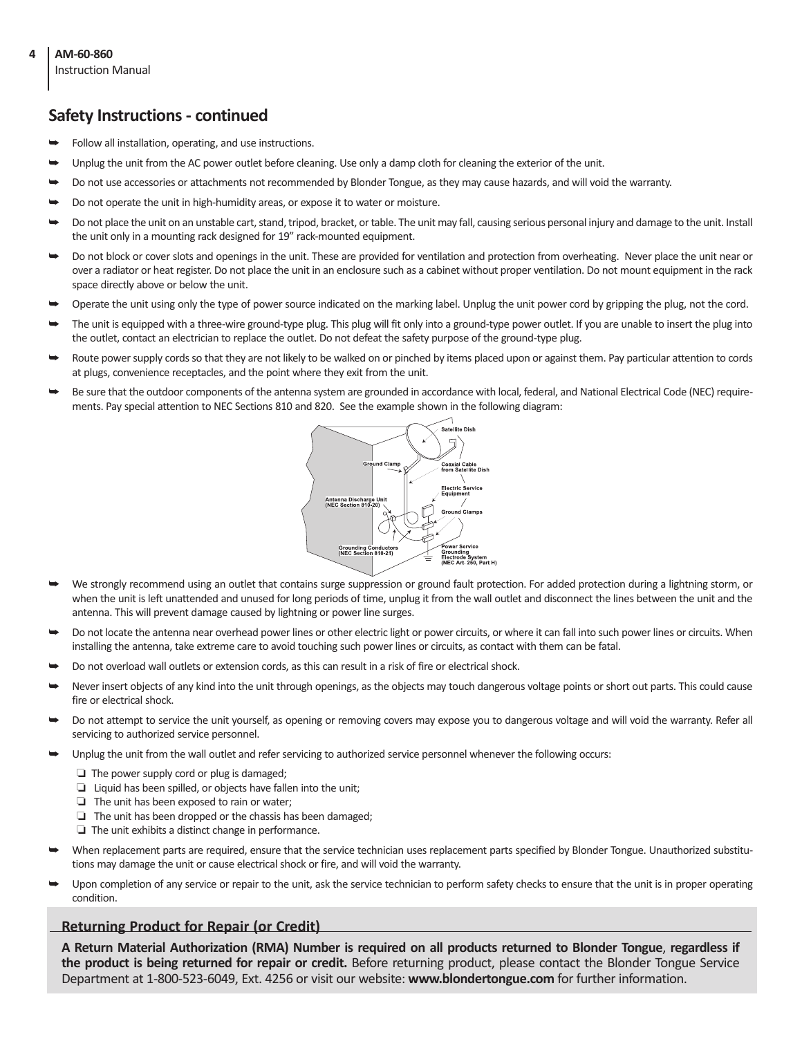#### **4 AM-60-860**

Instruction Manual

#### **Safety Instructions - continued**

- Follow all installation, operating, and use instructions.
- Unplug the unit from the AC power outlet before cleaning. Use only a damp cloth for cleaning the exterior of the unit.
- Do not use accessories or attachments not recommended by Blonder Tongue, as they may cause hazards, and will void the warranty.
- Do not operate the unit in high-humidity areas, or expose it to water or moisture.
- Do not place the unit on an unstable cart, stand, tripod, bracket, or table. The unit may fall, causing serious personal injury and damage to the unit. Install the unit only in a mounting rack designed for 19" rack-mounted equipment.
- Do not block or cover slots and openings in the unit. These are provided for ventilation and protection from overheating. Never place the unit near or over a radiator or heat register. Do not place the unit in an enclosure such as a cabinet without proper ventilation. Do not mount equipment in the rack space directly above or below the unit.
- Operate the unit using only the type of power source indicated on the marking label. Unplug the unit power cord by gripping the plug, not the cord.
- The unit is equipped with a three-wire ground-type plug. This plug will fit only into a ground-type power outlet. If you are unable to insert the plug into the outlet, contact an electrician to replace the outlet. Do not defeat the safety purpose of the ground-type plug.
- Route power supply cords so that they are not likely to be walked on or pinched by items placed upon or against them. Pay particular attention to cords at plugs, convenience receptacles, and the point where they exit from the unit.
- Be sure that the outdoor components of the antenna system are grounded in accordance with local, federal, and National Electrical Code (NEC) requirements. Pay special attention to NEC Sections 810 and 820. See the example shown in the following diagram:



- We strongly recommend using an outlet that contains surge suppression or ground fault protection. For added protection during a lightning storm, or when the unit is left unattended and unused for long periods of time, unplug it from the wall outlet and disconnect the lines between the unit and the antenna. This will prevent damage caused by lightning or power line surges.
- Do not locate the antenna near overhead power lines or other electric light or power circuits, or where it can fall into such power lines or circuits. When installing the antenna, take extreme care to avoid touching such power lines or circuits, as contact with them can be fatal.
- Do not overload wall outlets or extension cords, as this can result in a risk of fire or electrical shock.
- Never insert objects of any kind into the unit through openings, as the objects may touch dangerous voltage points or short out parts. This could cause fire or electrical shock.
- Do not attempt to service the unit yourself, as opening or removing covers may expose you to dangerous voltage and will void the warranty. Refer all servicing to authorized service personnel.
- Unplug the unit from the wall outlet and refer servicing to authorized service personnel whenever the following occurs:
	- ❏ The power supply cord or plug is damaged;
	- ❏ Liquid has been spilled, or objects have fallen into the unit;
	- ❏ The unit has been exposed to rain or water;
	- ❏ The unit has been dropped or the chassis has been damaged;
	- ❏ The unit exhibits a distinct change in performance.
- When replacement parts are required, ensure that the service technician uses replacement parts specified by Blonder Tongue. Unauthorized substitutions may damage the unit or cause electrical shock or fire, and will void the warranty.
- Upon completion of any service or repair to the unit, ask the service technician to perform safety checks to ensure that the unit is in proper operating condition.

#### **Returning Product for Repair (or Credit)**

**A Return Material Authorization (RMA) Number is required on all products returned to Blonder Tongue**, **regardless if the product is being returned for repair or credit.** Before returning product, please contact the Blonder Tongue Service Department at 1-800-523-6049, Ext. 4256 or visit our website: **www.blondertongue.com** for further information.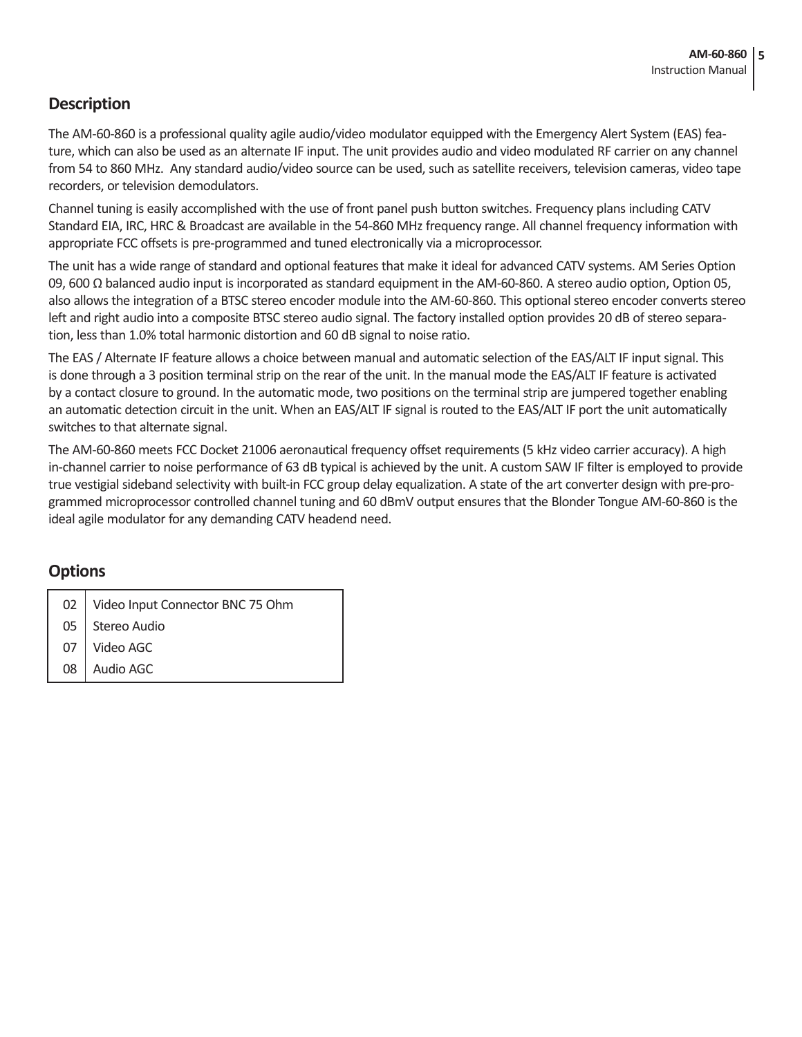#### **Description**

The AM-60-860 is a professional quality agile audio/video modulator equipped with the Emergency Alert System (EAS) feature, which can also be used as an alternate IF input. The unit provides audio and video modulated RF carrier on any channel from 54 to 860 MHz. Any standard audio/video source can be used, such as satellite receivers, television cameras, video tape recorders, or television demodulators.

Channel tuning is easily accomplished with the use of front panel push button switches. Frequency plans including CATV Standard EIA, IRC, HRC & Broadcast are available in the 54-860 MHz frequency range. All channel frequency information with appropriate FCC offsets is pre-programmed and tuned electronically via a microprocessor.

The unit has a wide range of standard and optional features that make it ideal for advanced CATV systems. AM Series Option 09, 600 Ω balanced audio input is incorporated as standard equipment in the AM-60-860. A stereo audio option, Option 05, also allows the integration of a BTSC stereo encoder module into the AM-60-860. This optional stereo encoder converts stereo left and right audio into a composite BTSC stereo audio signal. The factory installed option provides 20 dB of stereo separation, less than 1.0% total harmonic distortion and 60 dB signal to noise ratio.

The EAS / Alternate IF feature allows a choice between manual and automatic selection of the EAS/ALT IF input signal. This is done through a 3 position terminal strip on the rear of the unit. In the manual mode the EAS/ALT IF feature is activated by a contact closure to ground. In the automatic mode, two positions on the terminal strip are jumpered together enabling an automatic detection circuit in the unit. When an EAS/ALT IF signal is routed to the EAS/ALT IF port the unit automatically switches to that alternate signal.

The AM-60-860 meets FCC Docket 21006 aeronautical frequency offset requirements (5 kHz video carrier accuracy). A high in-channel carrier to noise performance of 63 dB typical is achieved by the unit. A custom SAW IF filter is employed to provide true vestigial sideband selectivity with built-in FCC group delay equalization. A state of the art converter design with pre-programmed microprocessor controlled channel tuning and 60 dBmV output ensures that the Blonder Tongue AM-60-860 is the ideal agile modulator for any demanding CATV headend need.

#### **Options**

|  |  |  | 02   Video Input Connector BNC 75 Ohm |  |  |
|--|--|--|---------------------------------------|--|--|
|--|--|--|---------------------------------------|--|--|

05 Stereo Audio

07 Video AGC

08 Audio AGC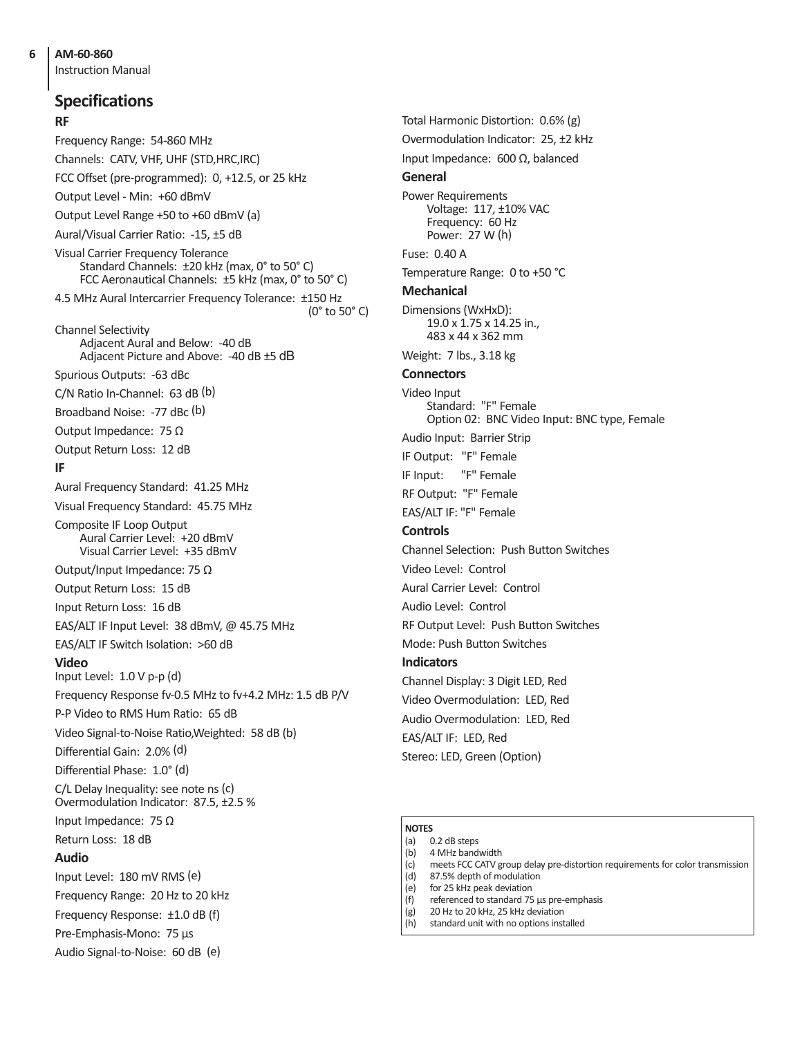Instruction Manual

**RF** Frequency Range: 54-860 MHz Channels: CATV, VHF, UHF (STD,HRC,IRC) FCC Offset (pre-programmed): 0, +12.5, or 25 kHz Output Level - Min: +60 dBmV Output Level Range +50 to +60 dBmV (a) Aural/Visual Carrier Ratio: -15, ±5 dB Visual Carrier Frequency Tolerance Standard Channels: ±20 kHz (max, 0° to 50° C) FCC Aeronautical Channels: ±5 kHz (max, 0° to 50° C) 4.5 MHz Aural Intercarrier Frequency Tolerance: ±150 Hz Channel Selectivity Adjacent Aural and Below: -40 dB Adjacent Picture and Above: -40 dB ±5 dB Spurious Outputs: -63 dBc C/N Ratio In-Channel: 63 dB (b) Broadband Noise: -77 dBc (b) Output Impedance: 75 Ω Output Return Loss: 12 dB **IF** Aural Frequency Standard: 41.25 MHz Visual Frequency Standard: 45.75 MHz Composite IF Loop Output Aural Carrier Level: +20 dBmV Visual Carrier Level: +35 dBmV Output/Input Impedance: 75 Ω Output Return Loss: 15 dB Input Return Loss: 16 dB EAS/ALT IF Input Level: 38 dBmV, @ 45.75 MHz EAS/ALT IF Switch Isolation: >60 dB **Video** Input Level: 1.0 V p-p (d) Frequency Response fv-0.5 MHz to fv+4.2 MHz: 1.5 dB P/V P-P Video to RMS Hum Ratio: 65 dB Video Signal-to-Noise Ratio,Weighted: 58 dB (b) Differential Gain: 2.0% (d) Differential Phase: 1.0° (d) C/L Delay Inequality: see note ns (c) Overmodulation Indicator: 87.5, ±2.5 % Input Impedance: 75 Ω Return Loss: 18 dB **Audio** Input Level: 180 mV RMS (e) Frequency Range: 20 Hz to 20 kHz Frequency Response: ±1.0 dB (f) Pre-Emphasis-Mono: 75 µs Audio Signal-to-Noise: 60 dB (e) **Specifications**

Total Harmonic Distortion: 0.6% (g) Overmodulation Indicator: 25, ±2 kHz Input Impedance: 600 Ω, balanced **General** Power Requirements Voltage: 117, ±10% VAC Frequency: 60 Hz Power: 27 W (h) Fuse: 0.40 A Temperature Range: 0 to +50 °C **Mechanical** Dimensions (WxHxD): 19.0 x 1.75 x 14.25 in., 483 x 44 x 362 mm Weight: 7 lbs., 3.18 kg **Connectors**  Video Input Standard: "F" Female Option 02: BNC Video Input: BNC type, Female Audio Input: Barrier Strip IF Output: "F" Female IF Input: "F" Female RF Output: "F" Female EAS/ALT IF: "F" Female **Controls**  Channel Selection: Push Button Switches Video Level: Control Aural Carrier Level: Control Audio Level: Control RF Output Level: Push Button Switches Mode: Push Button Switches **Indicators** Channel Display: 3 Digit LED, Red Video Overmodulation: LED, Red Audio Overmodulation: LED, Red EAS/ALT IF: LED, Red Stereo: LED, Green (Option)

#### **NOTES**

(0° to 50° C)

- (a) 0.2 dB steps (b) 4 MHz bandwidth
- (c) meets FCC CATV group delay pre-distortion requirements for color transmission
- (d) 87.5% depth of modulation
- (e) for 25 kHz peak deviation
- (f) referenced to standard 75 µs pre-emphasis
- (g) 20 Hz to 20 kHz, 25 kHz deviation
- (h) standard unit with no options installed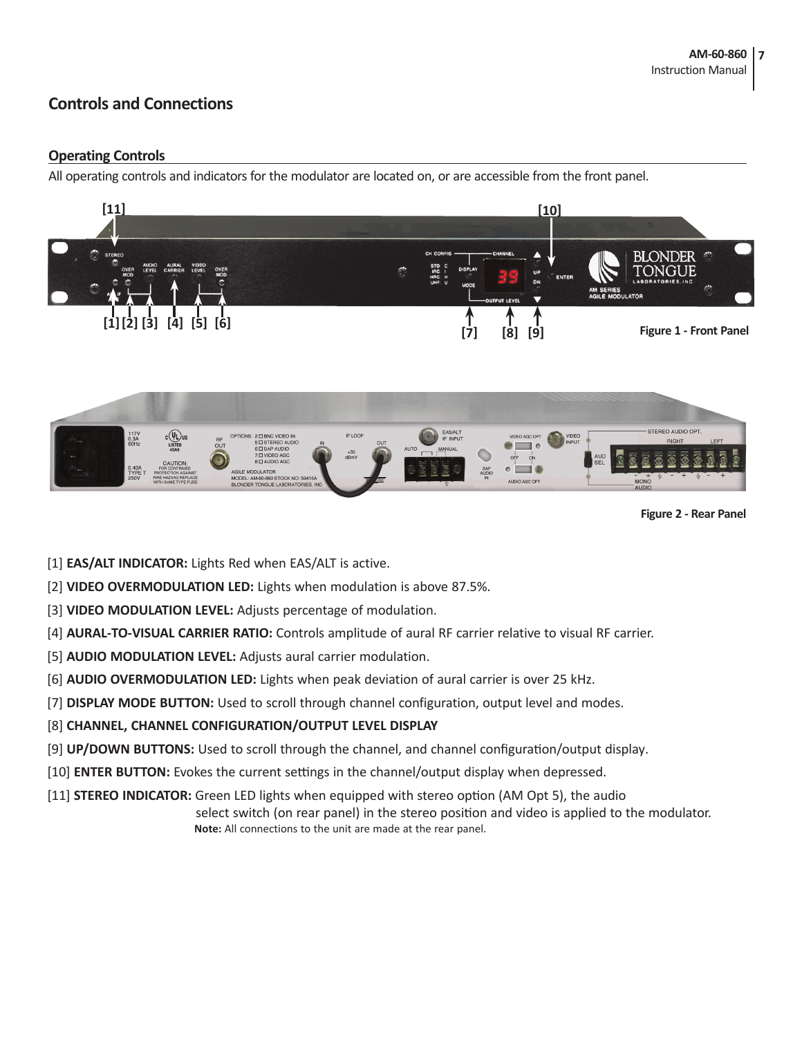#### **Controls and Connections**

#### **Operating Controls**

All operating controls and indicators for the modulator are located on, or are accessible from the front panel.





**Figure 2 - Rear Panel**

- [1] **EAS/ALT INDICATOR:** Lights Red when EAS/ALT is active.
- [2] **VIDEO OVERMODULATION LED:** Lights when modulation is above 87.5%.
- [3] **VIDEO MODULATION LEVEL:** Adjusts percentage of modulation.
- [4] **AURAL-TO-VISUAL CARRIER RATIO:** Controls amplitude of aural RF carrier relative to visual RF carrier.
- [5] **AUDIO MODULATION LEVEL:** Adjusts aural carrier modulation.
- [6] **AUDIO OVERMODULATION LED:** Lights when peak deviation of aural carrier is over 25 kHz.
- [7] **DISPLAY MODE BUTTON:** Used to scroll through channel configuration, output level and modes.
- [8] **CHANNEL, CHANNEL CONFIGURATION/OUTPUT LEVEL DISPLAY**
- [9] **UP/DOWN BUTTONS:** Used to scroll through the channel, and channel configuration/output display.
- [10] **ENTER BUTTON:** Evokes the current settings in the channel/output display when depressed.
- [11] **STEREO INDICATOR:** Green LED lights when equipped with stereo option (AM Opt 5), the audio select switch (on rear panel) in the stereo position and video is applied to the modulator.  **Note:** All connections to the unit are made at the rear panel.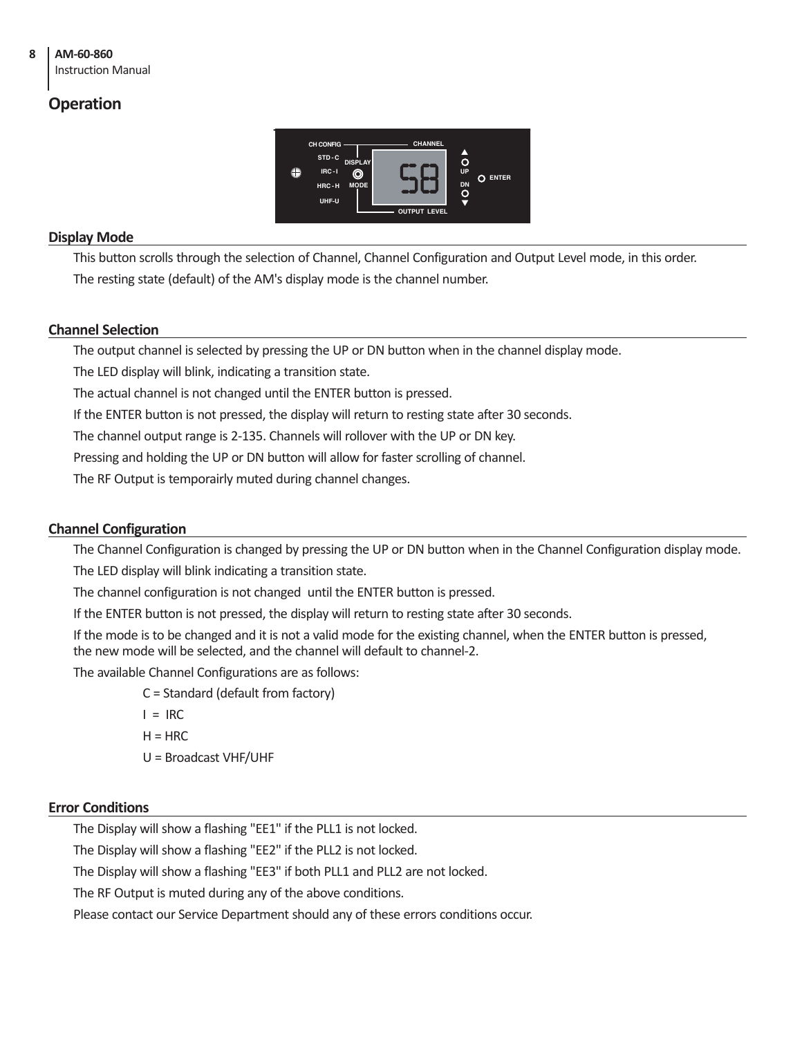#### Instruction Manual

#### **Operation**



#### **Display Mode**

This button scrolls through the selection of Channel, Channel Configuration and Output Level mode, in this order.

The resting state (default) of the AM's display mode is the channel number.

#### **Channel Selection**

The output channel is selected by pressing the UP or DN button when in the channel display mode.

The LED display will blink, indicating a transition state.

The actual channel is not changed until the ENTER button is pressed.

If the ENTER button is not pressed, the display will return to resting state after 30 seconds.

The channel output range is 2-135. Channels will rollover with the UP or DN key.

Pressing and holding the UP or DN button will allow for faster scrolling of channel.

The RF Output is temporairly muted during channel changes.

#### **Channel Configuration**

The Channel Configuration is changed by pressing the UP or DN button when in the Channel Configuration display mode. The LED display will blink indicating a transition state.

The channel configuration is not changed until the ENTER button is pressed.

If the ENTER button is not pressed, the display will return to resting state after 30 seconds.

If the mode is to be changed and it is not a valid mode for the existing channel, when the ENTER button is pressed, the new mode will be selected, and the channel will default to channel-2.

The available Channel Configurations are as follows:

C = Standard (default from factory)

 $I = IRC$ 

 $H = HRC$ 

U = Broadcast VHF/UHF

#### **Error Conditions**

The Display will show a flashing "EE1" if the PLL1 is not locked.

The Display will show a flashing "EE2" if the PLL2 is not locked.

The Display will show a flashing "EE3" if both PLL1 and PLL2 are not locked.

The RF Output is muted during any of the above conditions.

Please contact our Service Department should any of these errors conditions occur.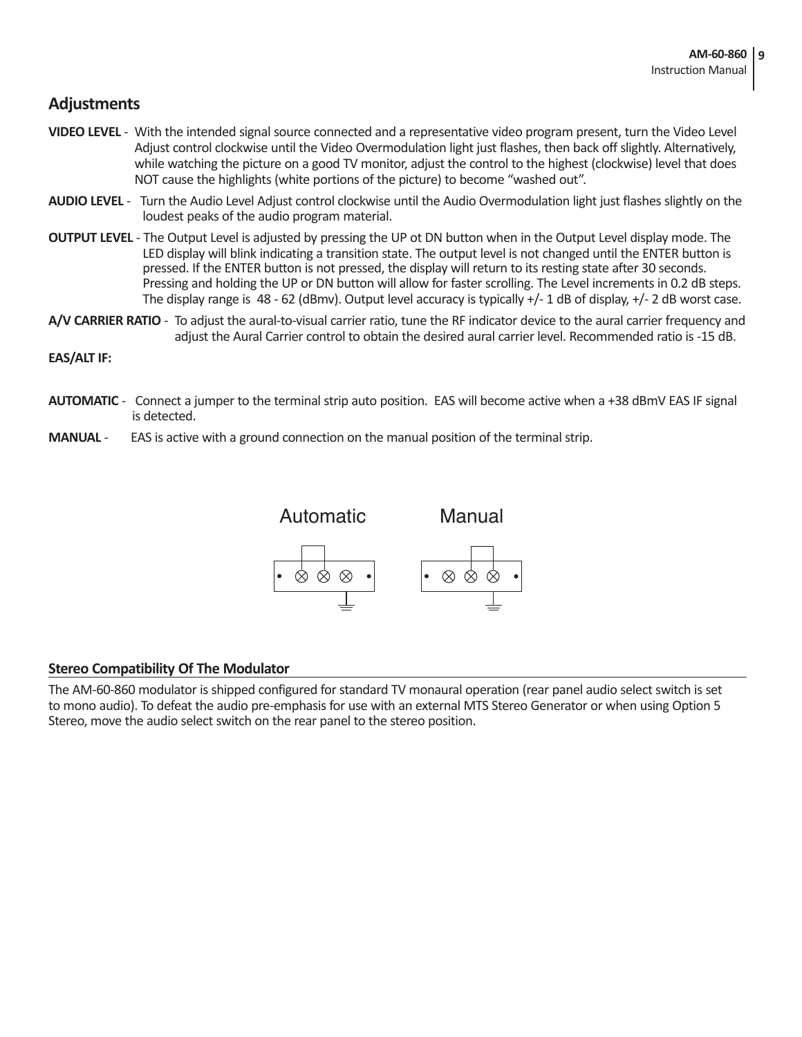#### **Adjustments**

- **VIDEO LEVEL**  With the intended signal source connected and a representative video program present, turn the Video Level Adjust control clockwise until the Video Overmodulation light just flashes, then back off slightly. Alternatively, while watching the picture on a good TV monitor, adjust the control to the highest (clockwise) level that does NOT cause the highlights (white portions of the picture) to become "washed out".
- **AUDIO LEVEL** Turn the Audio Level Adjust control clockwise until the Audio Overmodulation light just flashes slightly on the loudest peaks of the audio program material.
- **OUTPUT LEVEL** The Output Level is adjusted by pressing the UP ot DN button when in the Output Level display mode. The LED display will blink indicating a transition state. The output level is not changed until the ENTER button is pressed. If the ENTER button is not pressed, the display will return to its resting state after 30 seconds. Pressing and holding the UP or DN button will allow for faster scrolling. The Level increments in 0.2 dB steps. The display range is  $48 - 62$  (dBmv). Output level accuracy is typically  $+/-1$  dB of display,  $+/-2$  dB worst case.
- **A/V CARRIER RATIO** To adjust the aural-to-visual carrier ratio, tune the RF indicator device to the aural carrier frequency and adjust the Aural Carrier control to obtain the desired aural carrier level. Recommended ratio is -15 dB.

#### **EAS/ALT IF:**

- **AUTOMATIC**  Connect a jumper to the terminal strip auto position. EAS will become active when a +38 dBmV EAS IF signal is detected.
- **MANUAL** EAS is active with a ground connection on the manual position of the terminal strip.



#### **Stereo Compatibility Of The Modulator**

The AM-60-860 modulator is shipped configured for standard TV monaural operation (rear panel audio select switch is set to mono audio). To defeat the audio pre-emphasis for use with an external MTS Stereo Generator or when using Option 5 Stereo, move the audio select switch on the rear panel to the stereo position.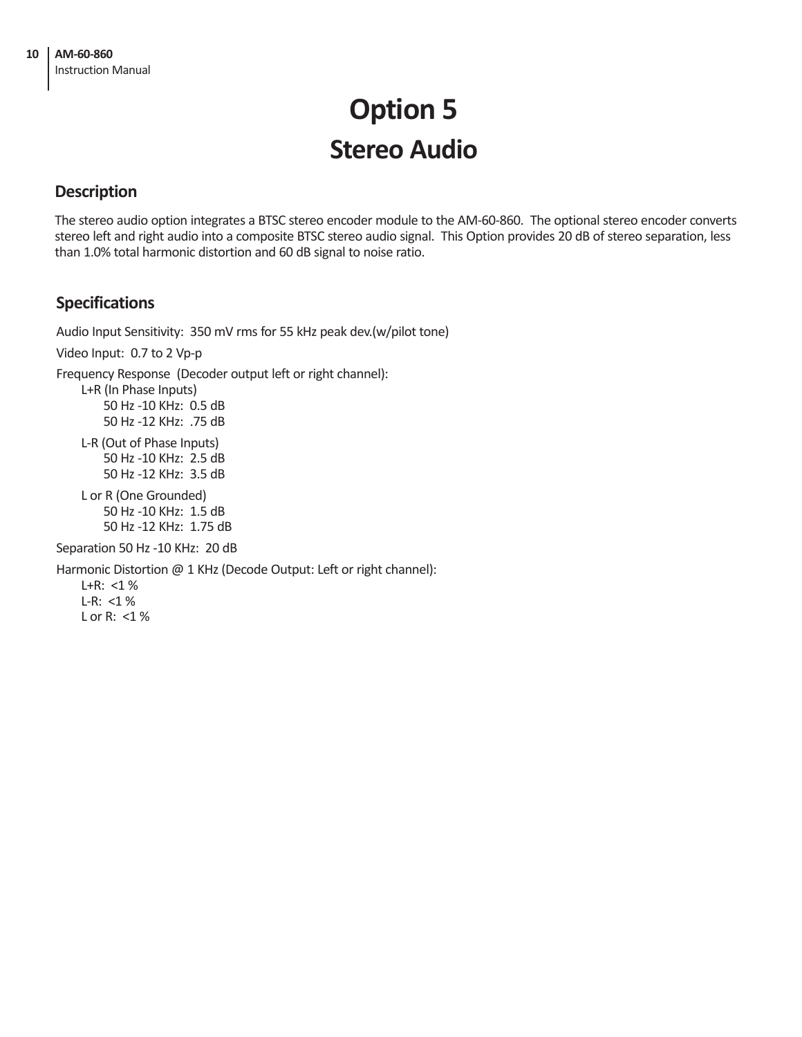## **Option 5 Stereo Audio**

#### **Description**

The stereo audio option integrates a BTSC stereo encoder module to the AM-60-860. The optional stereo encoder converts stereo left and right audio into a composite BTSC stereo audio signal. This Option provides 20 dB of stereo separation, less than 1.0% total harmonic distortion and 60 dB signal to noise ratio.

#### **Specifications**

Audio Input Sensitivity: 350 mV rms for 55 kHz peak dev.(w/pilot tone)

Video Input: 0.7 to 2 Vp-p

Frequency Response (Decoder output left or right channel):

L+R (In Phase Inputs) 50 Hz -10 KHz: 0.5 dB 50 Hz -12 KHz: .75 dB

L-R (Out of Phase Inputs) 50 Hz -10 KHz: 2.5 dB 50 Hz -12 KHz: 3.5 dB

L or R (One Grounded) 50 Hz -10 KHz: 1.5 dB 50 Hz -12 KHz: 1.75 dB

Separation 50 Hz -10 KHz: 20 dB

Harmonic Distortion @ 1 KHz (Decode Output: Left or right channel):

L+R:  $<$ 1 % L-R:  $<$ 1 % L or R: <1 %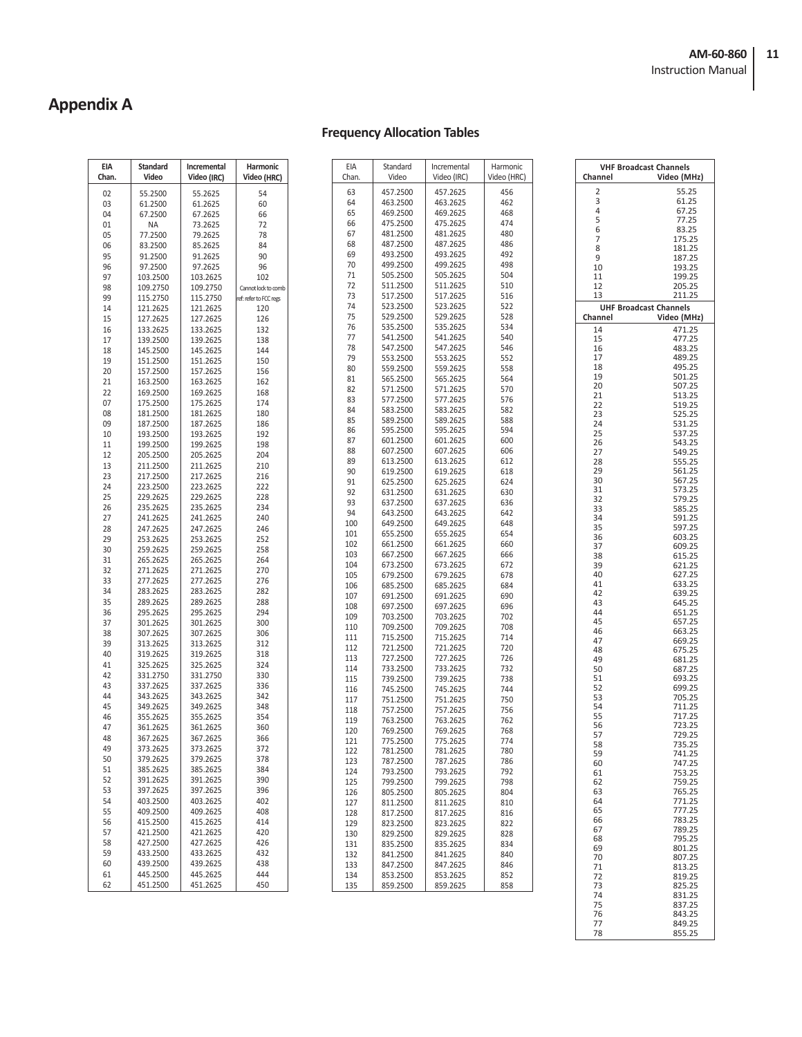### **Appendix A**

#### **Frequency Allocation Tables**

| EIA<br>Chan. | <b>Standard</b><br>Video | Incremental<br>Video (IRC) | Harmonic<br>Video (HRC)    |
|--------------|--------------------------|----------------------------|----------------------------|
| 02           | 55.2500                  | 55.2625                    | 54                         |
| 03           | 61.2500                  | 61.2625                    | 60                         |
| 04           | 67.2500                  | 67.2625                    | 66                         |
| 01           | NA                       | 73.2625                    | 72                         |
| 05           | 77.2500                  | 79.2625                    | 78                         |
| 06           | 83.2500                  | 85.2625                    | 84                         |
| 95           | 91.2500                  | 91.2625                    | 90                         |
| 96           | 97.2500                  | 97.2625                    | 96                         |
| 97<br>98     | 103.2500<br>109.2750     | 103.2625<br>109.2750       | 102<br>Cannot lock to comb |
| 99           | 115.2750                 | 115.2750                   | ref: refer to FCC regs     |
| 14           | 121.2625                 | 121.2625                   | 120                        |
| 15           | 127.2625                 | 127.2625                   | 126                        |
| 16           | 133.2625                 | 133.2625                   | 132                        |
| 17           | 139.2500                 | 139.2625                   | 138                        |
| 18           | 145.2500                 | 145.2625                   | 144                        |
| 19           | 151.2500                 | 151.2625                   | 150                        |
| 20           | 157.2500                 | 157.2625                   | 156                        |
| 21           | 163.2500                 | 163.2625                   | 162                        |
| 22           | 169.2500                 | 169.2625                   | 168                        |
| 07           | 175.2500                 | 175.2625                   | 174                        |
| 08           | 181.2500<br>187.2500     | 181.2625<br>187.2625       | 180<br>186                 |
| 09<br>10     | 193.2500                 | 193.2625                   | 192                        |
| 11           | 199.2500                 | 199.2625                   | 198                        |
| 12           | 205.2500                 | 205.2625                   | 204                        |
| 13           | 211.2500                 | 211.2625                   | 210                        |
| 23           | 217.2500                 | 217.2625                   | 216                        |
| 24           | 223.2500                 | 223.2625                   | 222                        |
| 25           | 229.2625                 | 229.2625                   | 228                        |
| 26           | 235.2625                 | 235.2625                   | 234                        |
| 27           | 241.2625                 | 241.2625                   | 240                        |
| 28           | 247.2625                 | 247.2625                   | 246                        |
| 29           | 253.2625                 | 253.2625                   | 252                        |
| 30           | 259.2625                 | 259.2625                   | 258                        |
| 31<br>32     | 265.2625<br>271.2625     | 265.2625<br>271.2625       | 264<br>270                 |
| 33           | 277.2625                 | 277.2625                   | 276                        |
| 34           | 283.2625                 | 283.2625                   | 282                        |
| 35           | 289.2625                 | 289.2625                   | 288                        |
| 36           | 295.2625                 | 295.2625                   | 294                        |
| 37           | 301.2625                 | 301.2625                   | 300                        |
| 38           | 307.2625                 | 307.2625                   | 306                        |
| 39           | 313.2625                 | 313.2625                   | 312                        |
| 40           | 319.2625                 | 319.2625                   | 318                        |
| 41           | 325.2625                 | 325.2625                   | 324                        |
| 42           | 331.2750<br>337.2625     | 331.2750<br>337.2625       | 330                        |
| 43<br>44     | 343.2625                 | 343.2625                   | 336<br>342                 |
| 45           | 349.2625                 | 349.2625                   | 348                        |
| 46           | 355.2625                 | 355.2625                   | 354                        |
| 47           | 361.2625                 | 361.2625                   | 360                        |
| 48           | 367.2625                 | 367.2625                   | 366                        |
| 49           | 373.2625                 | 373.2625                   | 372                        |
| 50           | 379.2625                 | 379.2625                   | 378                        |
| 51           | 385.2625                 | 385.2625                   | 384                        |
| 52           | 391.2625                 | 391.2625                   | 390                        |
| 53           | 397.2625                 | 397.2625                   | 396                        |
| 54           | 403.2500                 | 403.2625                   | 402                        |
| 55<br>56     | 409.2500<br>415.2500     | 409.2625<br>415.2625       | 408<br>414                 |
| 57           | 421.2500                 | 421.2625                   | 420                        |
| 58           | 427.2500                 | 427.2625                   | 426                        |
| 59           | 433.2500                 | 433.2625                   | 432                        |
| 60           | 439.2500                 | 439.2625                   | 438                        |
| 61           | 445.2500                 | 445.2625                   | 444                        |
| 62           | 451.2500                 | 451.2625                   | 450                        |
|              |                          |                            |                            |

| EIA<br>Chan. | Standard<br>Video    | Incremental<br>Video (IRC) | Harmonic<br>Video (HRC) |  |
|--------------|----------------------|----------------------------|-------------------------|--|
|              |                      |                            |                         |  |
| 63           | 457.2500             | 457.2625                   | 456                     |  |
| 64<br>65     | 463.2500<br>469.2500 | 463.2625<br>469.2625       | 462<br>468              |  |
| 66           | 475.2500             | 475.2625                   | 474                     |  |
| 67           | 481.2500             | 481.2625                   | 480                     |  |
| 68           | 487.2500             | 487.2625                   | 486                     |  |
| 69           | 493.2500             | 493.2625                   | 492                     |  |
| 70           | 499.2500             | 499.2625                   | 498                     |  |
| 71           | 505.2500             | 505.2625                   | 504                     |  |
| 72           | 511.2500             | 511.2625                   | 510                     |  |
| 73           | 517.2500             | 517.2625                   | 516                     |  |
| 74           | 523.2500             | 523.2625                   | 522                     |  |
| 75           | 529.2500             | 529.2625                   | 528                     |  |
| 76           | 535.2500             | 535.2625                   | 534                     |  |
| 77           | 541.2500             | 541.2625                   | 540                     |  |
| 78           | 547.2500             | 547.2625                   | 546                     |  |
| 79           | 553.2500             | 553.2625                   | 552                     |  |
| 80           | 559.2500             | 559.2625<br>565.2625       | 558                     |  |
| 81<br>82     | 565.2500<br>571.2500 | 571.2625                   | 564<br>570              |  |
| 83           | 577.2500             | 577.2625                   | 576                     |  |
| 84           | 583.2500             | 583.2625                   | 582                     |  |
| 85           | 589.2500             | 589.2625                   | 588                     |  |
| 86           | 595.2500             | 595.2625                   | 594                     |  |
| 87           | 601.2500             | 601.2625                   | 600                     |  |
| 88           | 607.2500             | 607.2625                   | 606                     |  |
| 89           | 613.2500             | 613.2625                   | 612                     |  |
| 90           | 619.2500             | 619.2625                   | 618                     |  |
| 91           | 625.2500             | 625.2625                   | 624                     |  |
| 92           | 631.2500             | 631.2625                   | 630                     |  |
| 93           | 637.2500             | 637.2625                   | 636                     |  |
| 94           | 643.2500             | 643.2625                   | 642                     |  |
| 100          | 649.2500             | 649.2625                   | 648                     |  |
| 101          | 655.2500             | 655.2625                   | 654                     |  |
| 102          | 661.2500             | 661.2625                   | 660                     |  |
| 103          | 667.2500             | 667.2625                   | 666                     |  |
| 104          | 673.2500             | 673.2625                   | 672                     |  |
| 105          | 679.2500             | 679.2625                   | 678                     |  |
| 106          | 685.2500             | 685.2625                   | 684                     |  |
| 107          | 691.2500             | 691.2625                   | 690                     |  |
| 108          | 697.2500             | 697.2625                   | 696                     |  |
| 109          | 703.2500<br>709.2500 | 703.2625<br>709.2625       | 702<br>708              |  |
| 110<br>111   | 715.2500             | 715.2625                   | 714                     |  |
| 112          | 721.2500             | 721.2625                   | 720                     |  |
| 113          | 727.2500             | 727.2625                   | 726                     |  |
| 114          | 733.2500             | 733.2625                   | 732                     |  |
| 115          | 739.2500             | 739.2625                   | 738                     |  |
| 116          | 745.2500             | 745.2625                   | 744                     |  |
| 117          | 751.2500             | 751.2625                   | 750                     |  |
| 118          | 757.2500             | 757.2625                   | 756                     |  |
| 119          | 763.2500             | 763.2625                   | 762                     |  |
| 120          | 769.2500             | 769.2625                   | 768                     |  |
| 121          | 775.2500             | 775.2625                   | 774                     |  |
| 122          | 781.2500             | 781.2625                   | 780                     |  |
| 123          | 787.2500             | 787.2625                   | 786                     |  |
| 124          | 793.2500             | 793.2625                   | 792                     |  |
| 125          | 799.2500             | 799.2625                   | 798                     |  |
| 126          | 805.2500<br>811.2500 | 805.2625                   | 804                     |  |
| 127          |                      | 811.2625                   | 810                     |  |
| 128<br>129   | 817.2500<br>823.2500 | 817.2625<br>823.2625       | 816<br>822              |  |
| 130          | 829.2500             | 829.2625                   | 828                     |  |
| 131          | 835.2500             | 835.2625                   | 834                     |  |
| 132          | 841.2500             | 841.2625                   | 840                     |  |
| 133          | 847.2500             | 847.2625                   | 846                     |  |
| 134          | 853.2500             | 853.2625                   | 852                     |  |
| 135          | 859.2500             | 859.2625                   | 858                     |  |
|              |                      |                            |                         |  |

| Channel  | <b>VHF Broadcast Channels</b><br>Video (MHz) |
|----------|----------------------------------------------|
| 2        | 55.25                                        |
| 3<br>4   | 61.25<br>67.25                               |
| 5        | 77.25                                        |
| 6        | 83.25                                        |
| 7<br>8   | 175.25<br>181.25                             |
| 9        | 187.25                                       |
| 10       | 193.25                                       |
| 11<br>12 | 199.25<br>205.25                             |
| 13       | 211.25                                       |
| Channel  | <b>UHF Broadcast Channels</b><br>Video (MHz) |
| 14       | 471.25                                       |
| 15       | 477.25                                       |
| 16       | 483.25                                       |
| 17       | 489.25                                       |
| 18<br>19 | 495.25<br>501.25                             |
| 20       | 507.25                                       |
| 21       | 513.25                                       |
| 22<br>23 | 519.25<br>525.25                             |
| 24       | 531.25                                       |
| 25       | 537.25                                       |
| 26       | 543.25                                       |
| 27<br>28 | 549.25<br>555.25                             |
| 29       | 561.25                                       |
| 30       | 567.25                                       |
| 31       | 573.25<br>579.25                             |
| 32<br>33 | 585.25                                       |
| 34       | 591.25                                       |
| 35       | 597.25                                       |
| 36<br>37 | 603.25<br>609.25                             |
| 38       | 615.25                                       |
| 39       | 621.25                                       |
| 40<br>41 | 627.25<br>633.25                             |
| 42       | 639.25                                       |
| 43       | 645.25                                       |
| 44<br>45 | 651.25<br>657.25                             |
| 46       | 663.25                                       |
| 47       | 669.25                                       |
| 48       | 675.25                                       |
| 49<br>50 | 681.25<br>687.25                             |
| 51       | 693.25                                       |
| 52       | 699.25                                       |
| 53<br>54 | 705.25<br>711.25                             |
| 55       | 717.25                                       |
| 56       | 723.25                                       |
| 57       | 729.25                                       |
| 58<br>59 | 735.25<br>741.25                             |
| 60       | 747.25                                       |
| 61       | 753.25                                       |
| 62<br>63 | 759.25<br>765.25                             |
| 64       | 771.25                                       |
| 65       | 777.25                                       |
| 66<br>67 | 783.25<br>789.25                             |
| 68       | 795.25                                       |
| 69       | 801.25                                       |
| 70       | 807.25                                       |
| 71<br>72 | 813.25<br>819.25                             |
| 73       | 825.25                                       |
| 74       | 831.25                                       |
| 75<br>76 | 837.25<br>843.25                             |
| 77       | 849.25                                       |
| 78       | 855.25                                       |